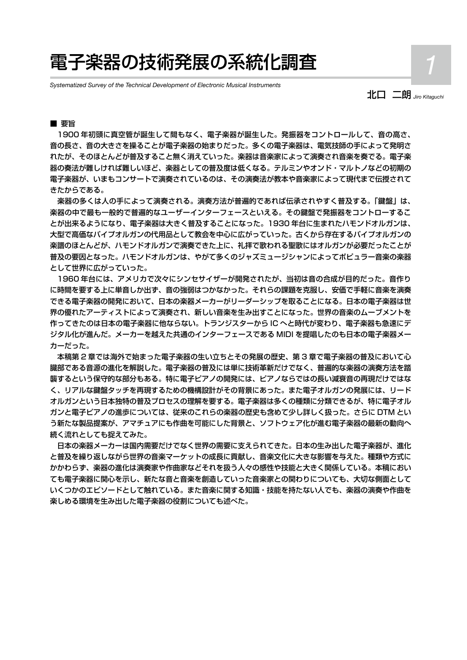# 電子楽器の技術発展の系統化調査 *1*

*Systematized Survey of the Technical Development of Electronic Musical Instruments*

北口 二朗 *Jiro Kitaguchi*

### ■ 要旨

 1900 年初頭に真空管が誕生して間もなく、電子楽器が誕生した。発振器をコントロールして、音の高さ、 音の長さ、音の大きさを操ることが電子楽器の始まりだった。多くの電子楽器は、電気技師の手によって発明さ れたが、そのほとんどが普及すること無く消えていった。楽器は音楽家によって演奏され音楽を奏でる。電子楽 器の奏法が難しければ難しいほど、楽器としての普及度は低くなる。テルミンやオンド・マルトノなどの初期の 電子楽器が、いまもコンサートで演奏されているのは、その演奏法が教本や音楽家によって現代まで伝授されて きたからである。

 楽器の多くは人の手によって演奏される。演奏方法が普遍的であれば伝承されやすく普及する。「鍵盤」は、 楽器の中で最も一般的で普遍的なユーザーインターフェースといえる。その鍵盤で発振器をコントローするこ とが出来るようになり、電子楽器は大きく普及することになった。1930 年台に生まれたハモンドオルガンは、 大型で高価なパイプオルガンの代用品として教会を中心に広がっていった。古くから存在するパイプオルガンの 楽譜のほとんどが、ハモンドオルガンで演奏できた上に、礼拝で歌われる聖歌にはオルガンが必要だったことが 普及の要因となった。ハモンドオルガンは、やがて多くのジャズミュージシャンによってポピュラー音楽の楽器 として世界に広がっていった。

 1960 年台には、アメリカで次々にシンセサイザーが開発されたが、当初は音の合成が目的だった。音作り に時間を要する上に単音しか出ず、音の強弱はつかなかった。それらの課題を克服し、安価で手軽に音楽を演奏 できる電子楽器の開発において、日本の楽器メーカーがリーダーシップを取ることになる。日本の電子楽器は世 界の優れたアーティストによって演奏され、新しい音楽を生み出すことになった。世界の音楽のムーブメントを 作ってきたのは日本の電子楽器に他ならない。トランジスターから IC へと時代が変わり、電子楽器も急速にデ ジタル化が進んだ。メーカーを越えた共通のインターフェースである MIDI を提唱したのも日本の電子楽器メー カーだった。

 本稿第 2 章では海外で始まった電子楽器の生い立ちとその発展の歴史、第 3 章で電子楽器の普及において心 臓部である音源の進化を解説した。電子楽器の普及には単に技術革新だけでなく、普遍的な楽器の演奏方法を踏 襲するという保守的な部分もある。特に電子ピアノの開発には、ピアノならではの長い減衰音の再現だけではな く、リアルな鍵盤タッチを再現するための機構設計がその背景にあった。また電子オルガンの発展には、リード オルガンという日本独特の普及プロセスの理解を要する。電子楽器は多くの種類に分類できるが、特に電子オル ガンと電子ピアノの進歩については、従来のこれらの楽器の歴史も含めて少し詳しく扱った。さらに DTM とい う新たな製品提案が、アマチュアにも作曲を可能にした背景と、ソフトウェア化が進む電子楽器の最新の動向へ 続く流れとしても捉えてみた。

 日本の楽器メーカーは国内需要だけでなく世界の需要に支えられてきた。日本の生み出した電子楽器が、進化 と普及を繰り返しながら世界の音楽マーケットの成長に貢献し、音楽文化に大きな影響を与えた。種類や方式に かかわらず、楽器の進化は演奏家や作曲家などそれを扱う人々の感性や技能と大きく関係している。本稿におい ても電子楽器に関心を示し、新たな音と音楽を創造していった音楽家との関わりについても、大切な側面として いくつかのエピソードとして触れている。また音楽に関する知識・技能を持たない人でも、楽器の演奏や作曲を 楽しめる環境を生み出した電子楽器の役割についても述べた。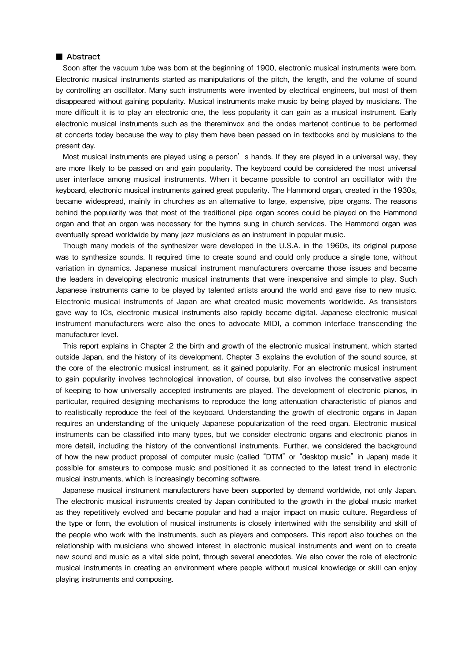### ■ Abstract

Soon after the vacuum tube was born at the beginning of 1900, electronic musical instruments were born. Electronic musical instruments started as manipulations of the pitch, the length, and the volume of sound by controlling an oscillator. Many such instruments were invented by electrical engineers, but most of them disappeared without gaining popularity. Musical instruments make music by being played by musicians. The more difficult it is to play an electronic one, the less popularity it can gain as a musical instrument. Early electronic musical instruments such as the thereminvox and the ondes martenot continue to be performed at concerts today because the way to play them have been passed on in textbooks and by musicians to the present day.

Most musical instruments are played using a person's hands. If they are played in a universal way, they are more likely to be passed on and gain popularity. The keyboard could be considered the most universal user interface among musical instruments. When it became possible to control an oscillator with the keyboard, electronic musical instruments gained great popularity. The Hammond organ, created in the 1930s, became widespread, mainly in churches as an alternative to large, expensive, pipe organs. The reasons behind the popularity was that most of the traditional pipe organ scores could be played on the Hammond organ and that an organ was necessary for the hymns sung in church services. The Hammond organ was eventually spread worldwide by many jazz musicians as an instrument in popular music.

Though many models of the synthesizer were developed in the U.S.A. in the 1960s, its original purpose was to synthesize sounds. It required time to create sound and could only produce a single tone, without variation in dynamics. Japanese musical instrument manufacturers overcame those issues and became the leaders in developing electronic musical instruments that were inexpensive and simple to play. Such Japanese instruments came to be played by talented artists around the world and gave rise to new music. Electronic musical instruments of Japan are what created music movements worldwide. As transistors gave way to ICs, electronic musical instruments also rapidly became digital. Japanese electronic musical instrument manufacturers were also the ones to advocate MIDI, a common interface transcending the manufacturer level.

This report explains in Chapter 2 the birth and growth of the electronic musical instrument, which started outside Japan, and the history of its development. Chapter 3 explains the evolution of the sound source, at the core of the electronic musical instrument, as it gained popularity. For an electronic musical instrument to gain popularity involves technological innovation, of course, but also involves the conservative aspect of keeping to how universally accepted instruments are played. The development of electronic pianos, in particular, required designing mechanisms to reproduce the long attenuation characteristic of pianos and to realistically reproduce the feel of the keyboard. Understanding the growth of electronic organs in Japan requires an understanding of the uniquely Japanese popularization of the reed organ. Electronic musical instruments can be classified into many types, but we consider electronic organs and electronic pianos in more detail, including the history of the conventional instruments. Further, we considered the background of how the new product proposal of computer music (called "DTM" or "desktop music" in Japan) made it possible for amateurs to compose music and positioned it as connected to the latest trend in electronic musical instruments, which is increasingly becoming software.

Japanese musical instrument manufacturers have been supported by demand worldwide, not only Japan. The electronic musical instruments created by Japan contributed to the growth in the global music market as they repetitively evolved and became popular and had a major impact on music culture. Regardless of the type or form, the evolution of musical instruments is closely intertwined with the sensibility and skill of the people who work with the instruments, such as players and composers. This report also touches on the relationship with musicians who showed interest in electronic musical instruments and went on to create new sound and music as a vital side point, through several anecdotes. We also cover the role of electronic musical instruments in creating an environment where people without musical knowledge or skill can enjoy playing instruments and composing.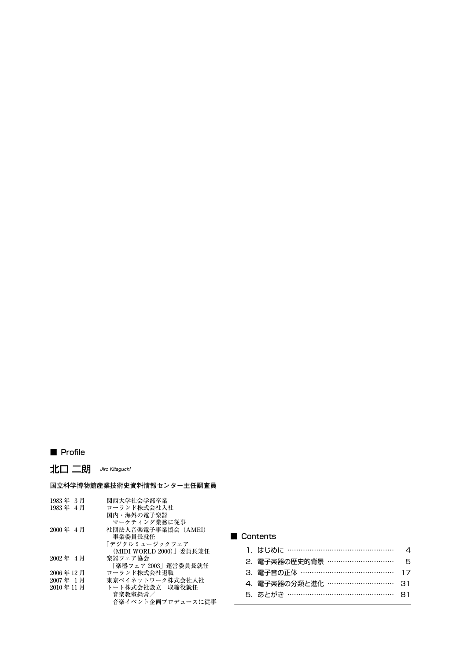# ■ Profile

北口 二朗 *Jiro Kitaguchi*

# **国立科学博物館産業技術史資料情報センター主任調査員**

| 関西大学社会学部卒業              |
|-------------------------|
| ローランド株式会社入社             |
| 国内・海外の電子楽器              |
| マーケティング業務に従事            |
| 社団法人音楽電子事業協会 (AMEI)     |
| 事業委員長就任                 |
| 「デジタルミュージックフェア          |
| (MIDI WORLD 2000)」委員長兼任 |
| 楽器フェア協会                 |
| 「楽器フェア 2003」運営委員長就任     |
| ローランド株式会社退職             |
| 東京ベイネットワーク株式会社入社        |
| トート株式会社設立 取締役就任         |
| 音楽教室経営/                 |
| 音楽イベント企画プロデュースに従事       |
|                         |

### ■ Contents

| 1. はじめに ………………………………………      | $\Lambda$ |
|------------------------------|-----------|
| 2.雷子楽器の歴史的背景 ……………………………… 5  |           |
| 3. 電子音の正体 …………………………………… 17  |           |
| 4. 雷子楽器の分類と進化 …………………………… 31 |           |
| 5. あとがき ………………………………………… 81  |           |
|                              |           |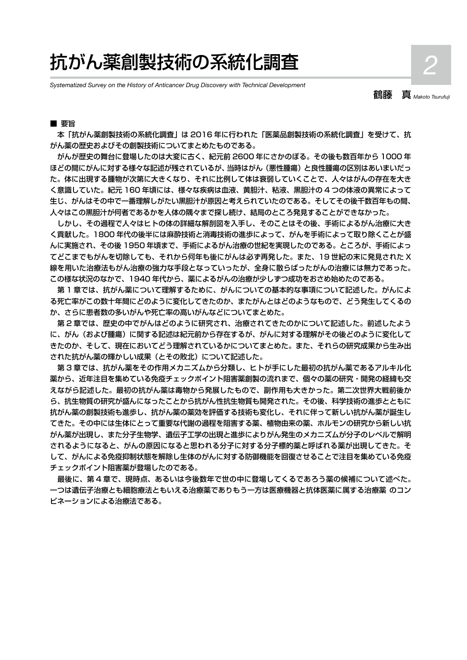# 抗がん薬創製技術の系統化調査 *2*

*Systematized Survey on the History of Anticancer Drug Discovery with Technical Development*

鶴藤 真 *Makoto Tsurufuji*

### ■ 要旨

 本「抗がん薬創製技術の系統化調査」は 2016 年に行われた「医薬品創製技術の系統化調査」を受けて、抗 がん薬の歴史およびその創製技術についてまとめたものである。

 がんが歴史の舞台に登場したのは大変に古く、紀元前 2600 年にさかのぼる。その後も数百年から 1000 年 ほどの間にがんに対する様々な記述が残されているが、当時はがん(悪性腫瘍)と良性腫瘍の区別はあいまいだっ た。体に出現する腫物が次第に大きくなり、それに比例して体は衰弱していくことで、人々はがんの存在を大き く意識していた。紀元 160 年頃には、様々な疾病は血液、黄胆汁、粘液、黒胆汁の 4 つの体液の異常によって 生じ、がんはその中で一番理解しがたい黒胆汁が原因と考えられていたのである。そしてその後千数百年もの間、 人々はこの黒胆汁が何者であるかを人体の隅々まで探し続け、結局のところ発見することができなかった。

しかし、その過程で人々はヒトの体の詳細な解剖図を入手し、そのことはその後、手術によるがん治療に大き く貢献した。1800 年代の後半には麻酔技術と消毒技術の進歩によって、がんを手術によって取り除くことが盛 んに実施され、その後 1950 年頃まで、手術によるがん治療の世紀を実現したのである。ところが、手術によっ てどこまでもがんを切除しても、それから何年も後にがんは必ず再発した。また、19 世紀の末に発見された X 線を用いた治療法もがん治療の強力な手段となっていったが、全身に散らばったがんの治療には無力であった。 この様な状況のなかで、1940 年代から、薬によるがんの治療が少しずつ成功をおさめ始めたのである。

 第 1 章では、抗がん薬について理解するために、がんについての基本的な事項について記述した。がんによ る死亡率がこの数十年間にどのように変化してきたのか、またがんとはどのようなもので、どう発生してくるの か、さらに患者数の多いがんや死亡率の高いがんなどについてまとめた。

 第 2 章では、歴史の中でがんはどのように研究され、治療されてきたのかについて記述した。前述したよう に、がん(および腫瘍)に関する記述は紀元前から存在するが、がんに対する理解がその後どのように変化して きたのか、そして、現在においてどう理解されているかについてまとめた。また、それらの研究成果から生み出 された抗がん薬の輝かしい成果(とその敗北)について記述した。

 第 3 章では、抗がん薬をその作用メカニズムから分類し、ヒトが手にした最初の抗がん薬であるアルキル化 薬から、近年注目を集めている免疫チェックポイント阻害薬創製の流れまで、個々の薬の研究・開発の経緯も交 えながら記述した。最初の抗がん薬は毒物から発展したもので、副作用も大きかった。第二次世界大戦前後か ら、抗生物質の研究が盛んになったことから抗がん性抗生物質も開発された。その後、科学技術の進歩とともに 抗がん薬の創製技術も進歩し、抗がん薬の薬効を評価する技術も変化し、それに伴って新しい抗がん薬が誕生し てきた。その中には生体にとって重要な代謝の過程を阻害する薬、植物由来の薬、ホルモンの研究から新しい抗 がん薬が出現し、また分子生物学、遺伝子工学の出現と進歩によりがん発生のメカニズムが分子のレベルで解明 されるようになると、がんの原因になると思われる分子に対する分子標的薬と呼ばれる薬が出現してきた。そ して、がんによる免疫抑制状態を解除し生体のがんに対する防御機能を回復させることで注目を集めている免疫 チェックポイント阻害薬が登場したのである。

 最後に、第 4 章で、現時点、あるいは今後数年で世の中に登場してくるであろう薬の候補について述べた。 一つは遺伝子治療とも細胞療法ともいえる治療薬でありもう一方は医療機器と抗体医薬に属する治療薬 のコン ビネーションによる治療法である。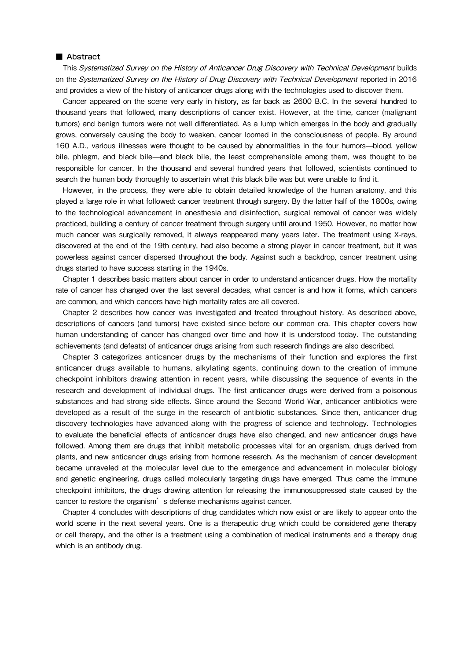#### ■ Abstract

This Systematized Survey on the History of Anticancer Drug Discovery with Technical Development builds on the Systematized Survey on the History of Drug Discovery with Technical Development reported in 2016 and provides a view of the history of anticancer drugs along with the technologies used to discover them.

Cancer appeared on the scene very early in history, as far back as 2600 B.C. In the several hundred to thousand years that followed, many descriptions of cancer exist. However, at the time, cancer (malignant tumors) and benign tumors were not well differentiated. As a lump which emerges in the body and gradually grows, conversely causing the body to weaken, cancer loomed in the consciousness of people. By around 160 A.D., various illnesses were thought to be caused by abnormalities in the four humors—blood, yellow bile, phlegm, and black bile—and black bile, the least comprehensible among them, was thought to be responsible for cancer. In the thousand and several hundred years that followed, scientists continued to search the human body thoroughly to ascertain what this black bile was but were unable to find it.

However, in the process, they were able to obtain detailed knowledge of the human anatomy, and this played a large role in what followed: cancer treatment through surgery. By the latter half of the 1800s, owing to the technological advancement in anesthesia and disinfection, surgical removal of cancer was widely practiced, building a century of cancer treatment through surgery until around 1950. However, no matter how much cancer was surgically removed, it always reappeared many years later. The treatment using X-rays, discovered at the end of the 19th century, had also become a strong player in cancer treatment, but it was powerless against cancer dispersed throughout the body. Against such a backdrop, cancer treatment using drugs started to have success starting in the 1940s.

Chapter 1 describes basic matters about cancer in order to understand anticancer drugs. How the mortality rate of cancer has changed over the last several decades, what cancer is and how it forms, which cancers are common, and which cancers have high mortality rates are all covered.

Chapter 2 describes how cancer was investigated and treated throughout history. As described above, descriptions of cancers (and tumors) have existed since before our common era. This chapter covers how human understanding of cancer has changed over time and how it is understood today. The outstanding achievements (and defeats) of anticancer drugs arising from such research findings are also described.

Chapter 3 categorizes anticancer drugs by the mechanisms of their function and explores the first anticancer drugs available to humans, alkylating agents, continuing down to the creation of immune checkpoint inhibitors drawing attention in recent years, while discussing the sequence of events in the research and development of individual drugs. The first anticancer drugs were derived from a poisonous substances and had strong side effects. Since around the Second World War, anticancer antibiotics were developed as a result of the surge in the research of antibiotic substances. Since then, anticancer drug discovery technologies have advanced along with the progress of science and technology. Technologies to evaluate the beneficial effects of anticancer drugs have also changed, and new anticancer drugs have followed. Among them are drugs that inhibit metabolic processes vital for an organism, drugs derived from plants, and new anticancer drugs arising from hormone research. As the mechanism of cancer development became unraveled at the molecular level due to the emergence and advancement in molecular biology and genetic engineering, drugs called molecularly targeting drugs have emerged. Thus came the immune checkpoint inhibitors, the drugs drawing attention for releasing the immunosuppressed state caused by the cancer to restore the organism's defense mechanisms against cancer.

Chapter 4 concludes with descriptions of drug candidates which now exist or are likely to appear onto the world scene in the next several years. One is a therapeutic drug which could be considered gene therapy or cell therapy, and the other is a treatment using a combination of medical instruments and a therapy drug which is an antibody drug.